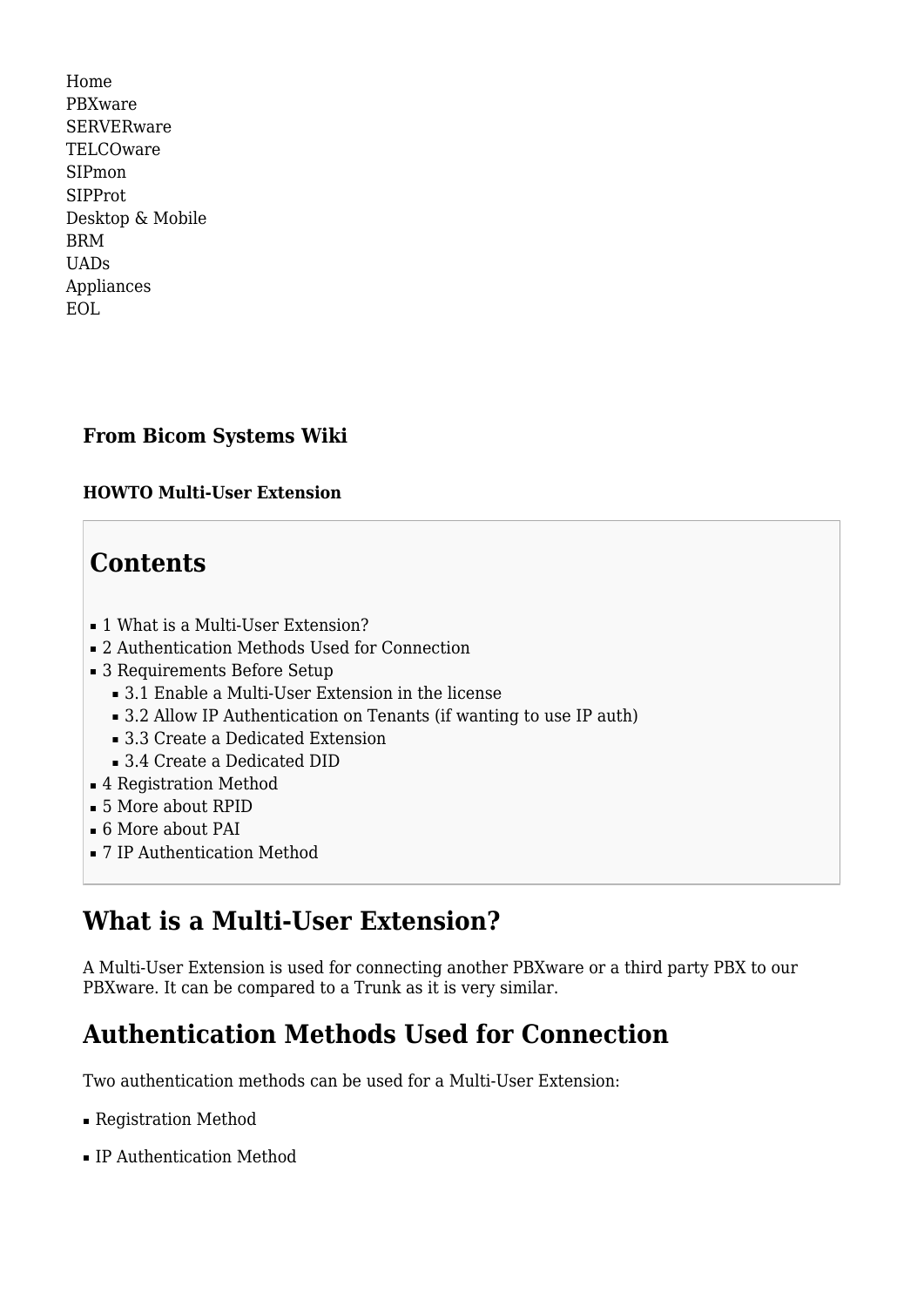[Home](http://wiki.bicomsystems.com/Main_Page) [PBXware](http://wiki.bicomsystems.com/PBXware) **[SERVERware](http://wiki.bicomsystems.com/SERVERware)** [TELCOware](http://wiki.bicomsystems.com/TELCOware) [SIPmon](http://wiki.bicomsystems.com/SIPmon) [SIPProt](http://wiki.bicomsystems.com/SIPProt) [Desktop & Mobile](http://wiki.bicomsystems.com/Desktop_and_Mobile) [BRM](http://wiki.bicomsystems.com/BRM) [UADs](http://wiki.bicomsystems.com/UADs) [Appliances](http://wiki.bicomsystems.com/Appliances) [EOL](http://wiki.bicomsystems.com/EOL)

## **From Bicom Systems Wiki**

#### **HOWTO Multi-User Extension**

# **Contents**

- [1](#What_is_a_Multi-User_Extension.3F) [What is a Multi-User Extension?](#What_is_a_Multi-User_Extension.3F)
- [2](#page--1-0) [Authentication Methods Used for Connection](#page--1-0)
- [3](#page--1-0) [Requirements Before Setup](#page--1-0)
	- [3.1](#page--1-0) [Enable a Multi-User Extension in the license](#page--1-0)
	- [3.2](#Allow_IP_Authentication_on_Tenants_.28if_wanting_to_use_IP_auth.29) [Allow IP Authentication on Tenants \(if wanting to use IP auth\)](#Allow_IP_Authentication_on_Tenants_.28if_wanting_to_use_IP_auth.29)
	- [3.3](#page--1-0) [Create a Dedicated Extension](#page--1-0)
	- [3.4](#page--1-0) [Create a Dedicated DID](#page--1-0)
- [4](#page--1-0) [Registration Method](#page--1-0)
- [5](#page--1-0) [More about RPID](#page--1-0)
- [6](#page--1-0) [More about PAI](#page--1-0)
- [7](#page--1-0) [IP Authentication Method](#page--1-0)

# **What is a Multi-User Extension?**

A Multi-User Extension is used for connecting another PBXware or a third party PBX to our PBXware. It can be compared to a Trunk as it is very similar.

# **Authentication Methods Used for Connection**

Two authentication methods can be used for a Multi-User Extension:

- Registration Method
- IP Authentication Method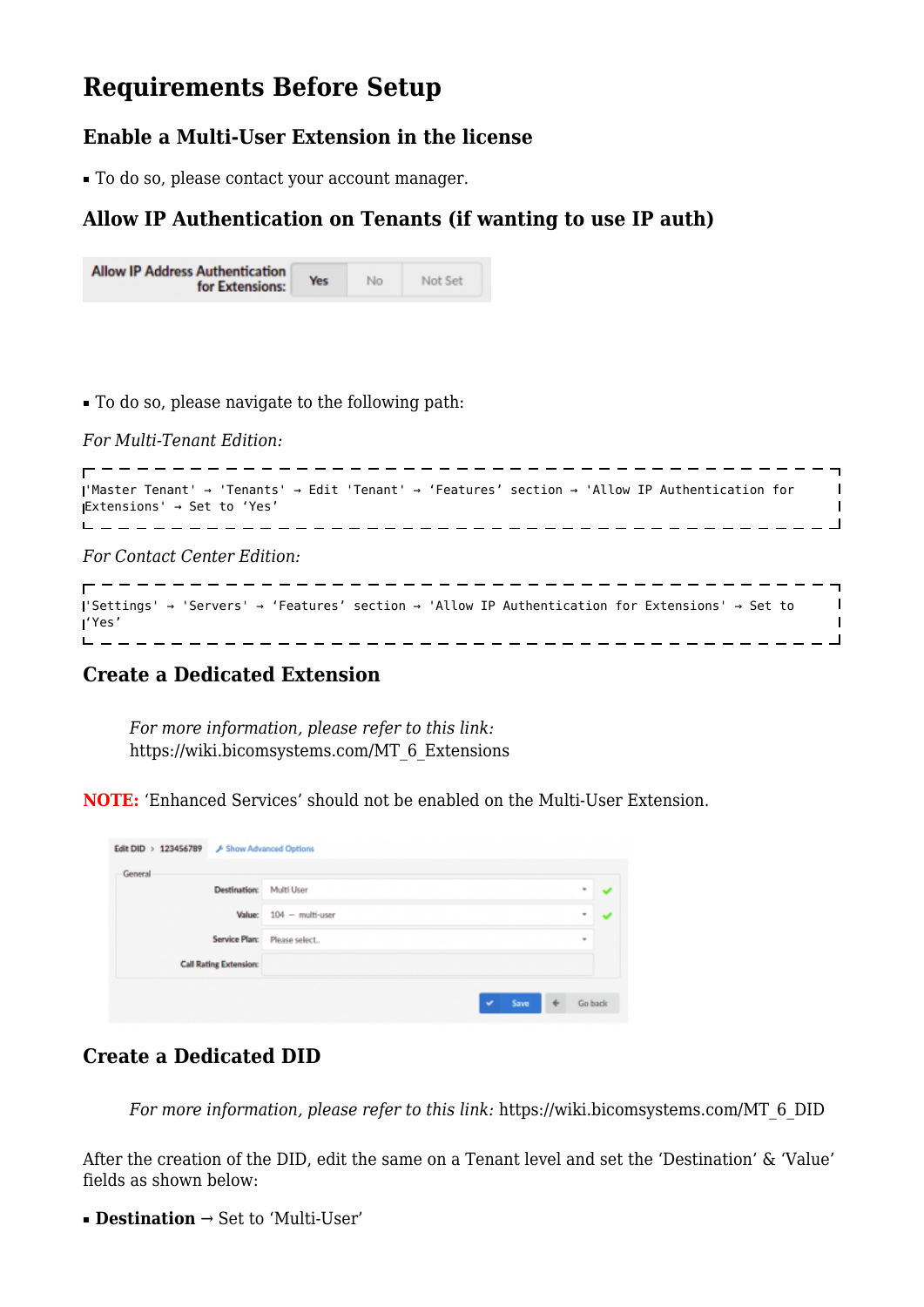## **Requirements Before Setup**

### **Enable a Multi-User Extension in the license**

■ To do so, please contact your account manager.

### **Allow IP Authentication on Tenants (if wanting to use IP auth)**

| <b>Allow IP Address Authentication</b><br>for Extensions: | Yes. | No | Not Set |  |
|-----------------------------------------------------------|------|----|---------|--|
|-----------------------------------------------------------|------|----|---------|--|

■ To do so, please navigate to the following path:

*For Multi-Tenant Edition:*

```
'Master Tenant' → 'Tenants' → Edit 'Tenant' → 'Features' section → 'Allow IP Authentication for
                                          \overline{1}Extensions' → Set to 'Yes'
                                          \blacksquare
```
*For Contact Center Edition:*

```
'Settings' → 'Servers' → 'Features' section → 'Allow IP Authentication for Extensions' → Set to
                                                      \blacksquare'Yes'
                  _____________________________
. _ _ _ _ _ _ _ _ _ _
```
### **Create a Dedicated Extension**

*For more information, please refer to this link:* [https://wiki.bicomsystems.com/MT\\_6\\_Extensions](https://wiki.bicomsystems.com/MT_6_Extensions)

**NOTE:** 'Enhanced Services' should not be enabled on the Multi-User Extension.

| <b>Destination:</b>           | <b>Multi User</b>  |  | ٠        | $\checkmark$ |
|-------------------------------|--------------------|--|----------|--------------|
| <b>Value:</b>                 | $104 -$ multi-user |  | ٠        | $\checkmark$ |
| Service Plan:                 | Please select      |  | $\equiv$ |              |
| <b>Call Rating Extension:</b> |                    |  |          |              |

### **Create a Dedicated DID**

*For more information, please refer to this link:* [https://wiki.bicomsystems.com/MT\\_6\\_DID](https://wiki.bicomsystems.com/MT_6_DID)

After the creation of the DID, edit the same on a Tenant level and set the 'Destination' & 'Value' fields as shown below:

■ **Destination** → Set to 'Multi-User'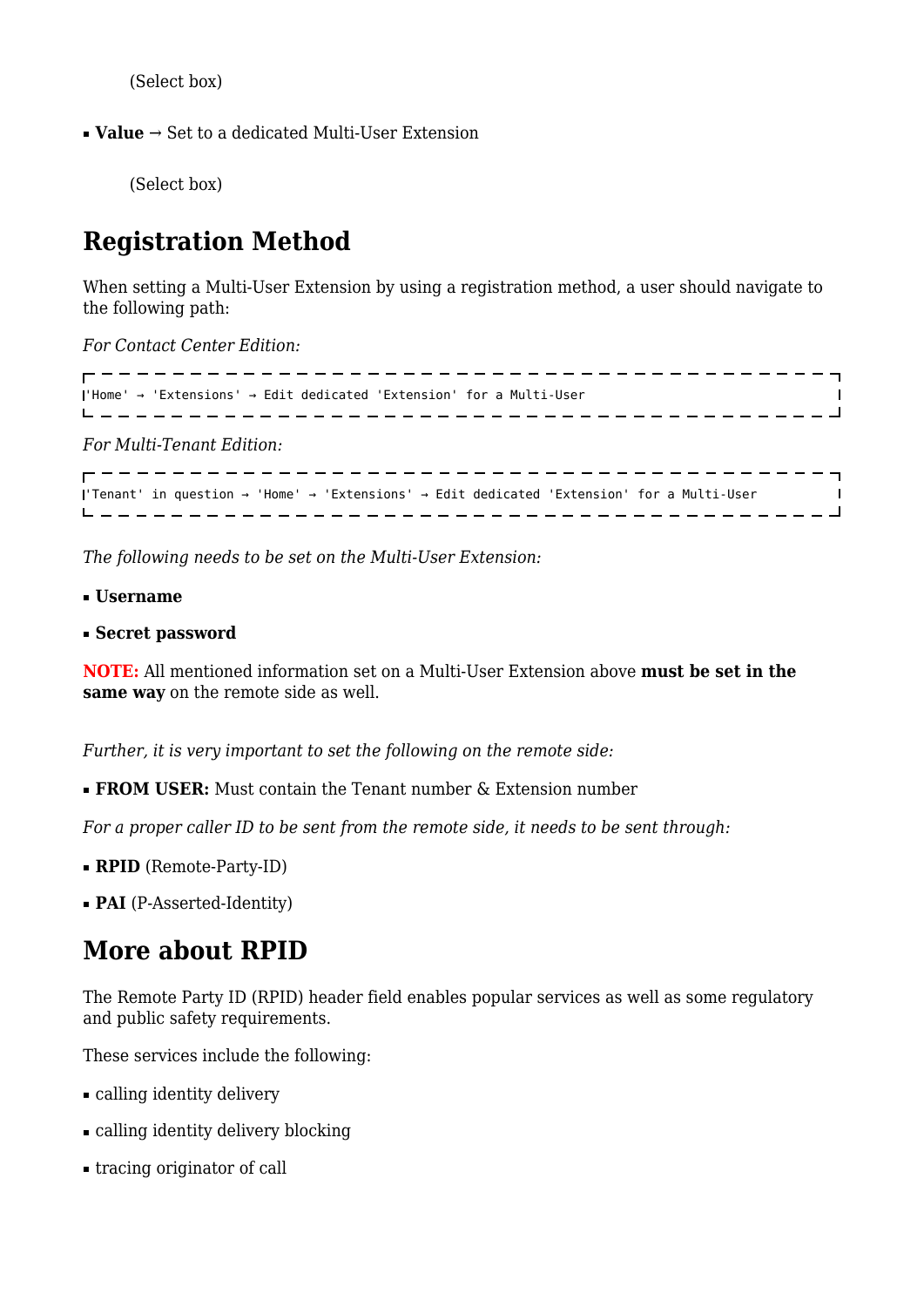(Select box)

■ **Value** → Set to a dedicated Multi-User Extension

(Select box)

# **Registration Method**

When setting a Multi-User Extension by using a registration method, a user should navigate to the following path:

*For Contact Center Edition:*

'Home' → 'Extensions' → Edit dedicated 'Extension' for a Multi-User  $\overline{\phantom{a}}$ *For Multi-Tenant Edition:*

'Tenant' in question → 'Home' → 'Extensions' → Edit dedicated 'Extension' for a Multi-User  $\blacksquare$ --------------------------------

*The following needs to be set on the Multi-User Extension:*

- **Username**
- **Secret password**

**NOTE:** All mentioned information set on a Multi-User Extension above **must be set in the same way** on the remote side as well.

*Further, it is very important to set the following on the remote side:*

**• FROM USER:** Must contain the Tenant number & Extension number

*For a proper caller ID to be sent from the remote side, it needs to be sent through:*

■ **RPID** (Remote-Party-ID)

■ **PAI** (P-Asserted-Identity)

## **More about RPID**

The Remote Party ID (RPID) header field enables popular services as well as some regulatory and public safety requirements.

These services include the following:

- calling identity delivery
- calling identity delivery blocking
- tracing originator of call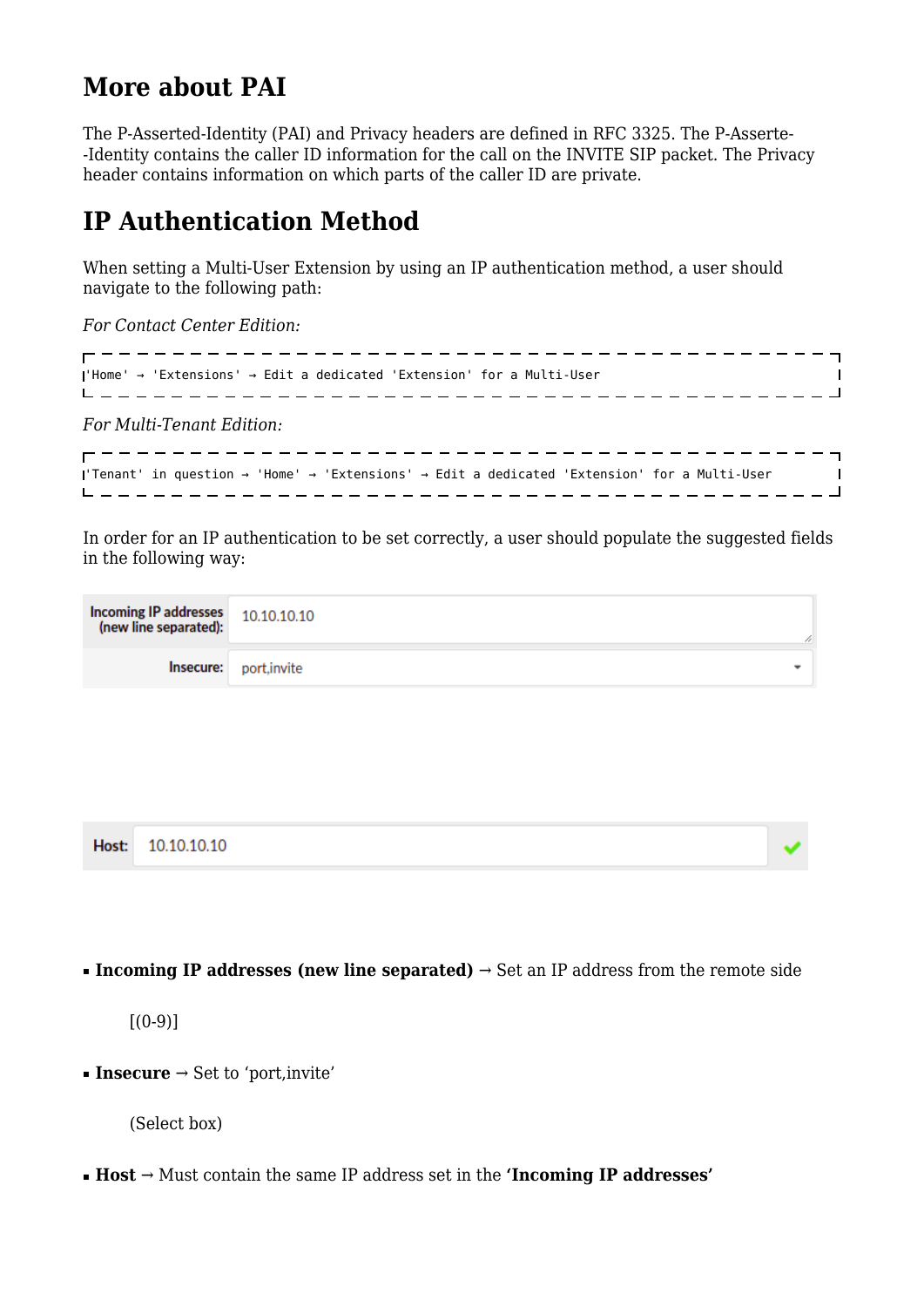# **More about PAI**

The P-Asserted-Identity (PAI) and Privacy headers are defined in [RFC 3325](http://tools.ietf.org/html/rfc3325). The P-Asserte- -Identity contains the caller ID information for the call on the INVITE SIP packet. The Privacy header contains information on which parts of the caller ID are private.

## **IP Authentication Method**

When setting a Multi-User Extension by using an IP authentication method, a user should navigate to the following path:

*For Contact Center Edition:*

'Home' → 'Extensions' → Edit a dedicated 'Extension' for a Multi-User 

*For Multi-Tenant Edition:*

'Tenant' in question → 'Home' → 'Extensions' → Edit a dedicated 'Extension' for a Multi-User  $\blacksquare$ 

In order for an IP authentication to be set correctly, a user should populate the suggested fields in the following way:

| <b>Incoming IP addresses</b> 10.10.10.10<br>(new line separated): |                               | n. |
|-------------------------------------------------------------------|-------------------------------|----|
|                                                                   | <b>Insecure:</b> port, invite |    |

|  | Host: 10.10.10.10 |  |
|--|-------------------|--|
|--|-------------------|--|

**• Incoming IP addresses (new line separated)**  $\rightarrow$  Set an IP address from the remote side

 $[(0-9)]$ 

**• Insecure**  $\rightarrow$  Set to 'port, invite'

(Select box)

■ **Host** → Must contain the same IP address set in the **'Incoming IP addresses'**